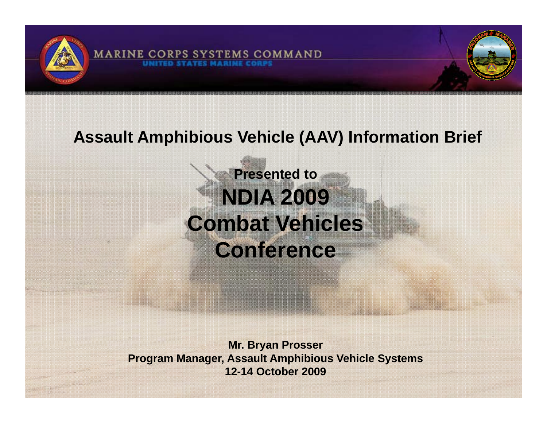

#### **Assault Amphibious Vehicle (AAV) Information Brief**

## **Presented to NDIA 2009 Combat Vehicles Conference**

**Mr Bryan Prosser Mr. Program Manager, Assault Amphibious Vehicle Systems 12-14 October 2009**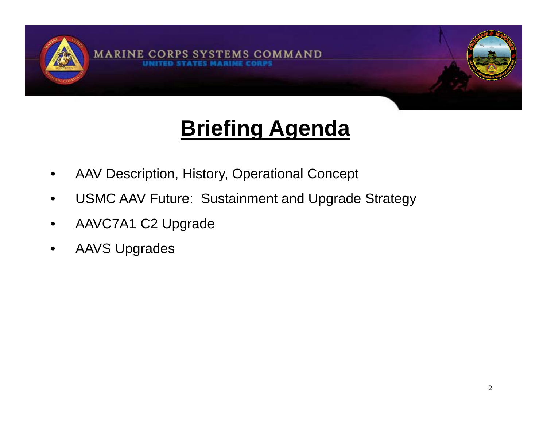

## **Briefing Agenda**

- •AAV Description, History, Operational Concept
- •USMC AAV Future: Sustainment and Upgrade Strategy
- •AAVC7A1 C2 Upgrade
- $\bullet$ AAVS Upgrades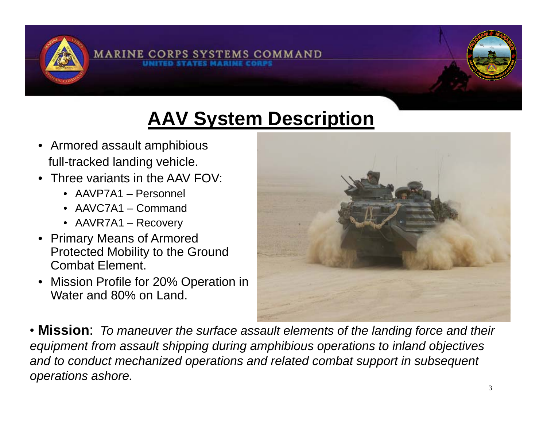

## **AAV System Description**

- Armored assault amphibious full-tracked landing vehicle.
- Three variants in the AAV FOV:
	- AAVP7A1 Personnel
	- AAVC7A1 Command
	- AAVR7A1 Recovery
- Primary Means of Armored Protected Mobility to the Ground Combat Element.
- Mission Profile for 20% Operation in Water and 80% on Land.



• **Mission**: *To maneuver the surface assault elements of the landing force and their*  equipment from assault shipping during amphibious operations to inland objectives<br>and to conduct mechanized operations and related combat support in subsequent *operations ashore.*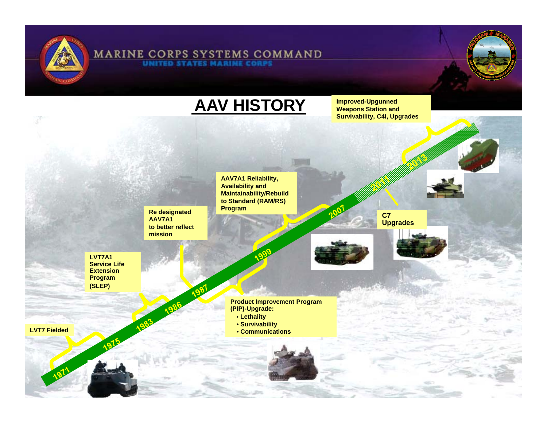

### **MARINE CORPS SYSTEMS COMMAND**

**AAV HISTORY**

 **Improved-Upgunned Weapons Station and Survivability, C4I, Upgrades**

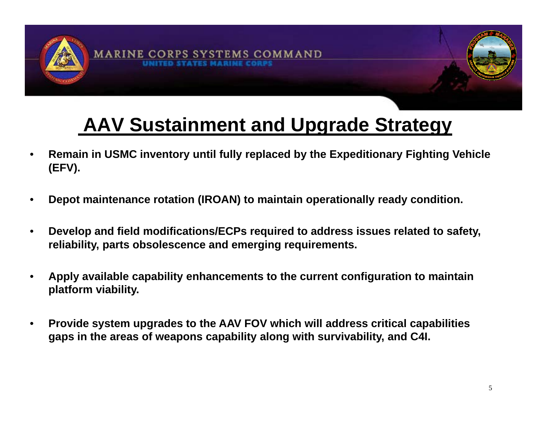

### **AAV Sustainment and Upgrade Strategy**

- • **Remain in USMC inventory until fully replaced by the Expeditionary Fighting Vehicle (EFV).**
- •**Depot maintenance rotation (IROAN) to maintain operationally ready condition.**
- $\bullet$  **Develop and field modifications/ECPs required to address issues related to safety, reliability, parts obsolescence and emerging requirements.**
- $\bullet$  **Apply available capability enhancements to the current configuration to maintain platform viability viability.**
- $\bullet$  **Provide system upgrades to the AAV FOV which will address critical capabilities gaps in the areas of weapons capability along with survivability, and C4I.**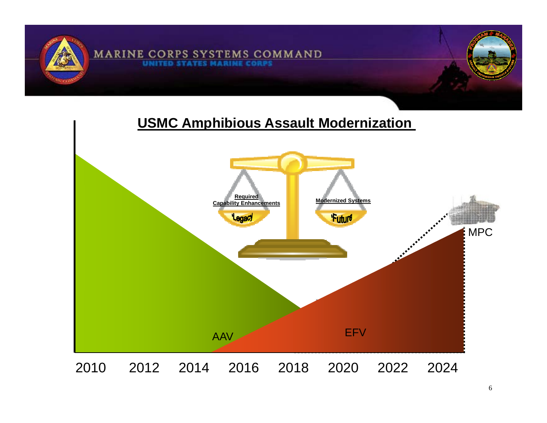

#### **USMC Amphibious Assault Modernization**

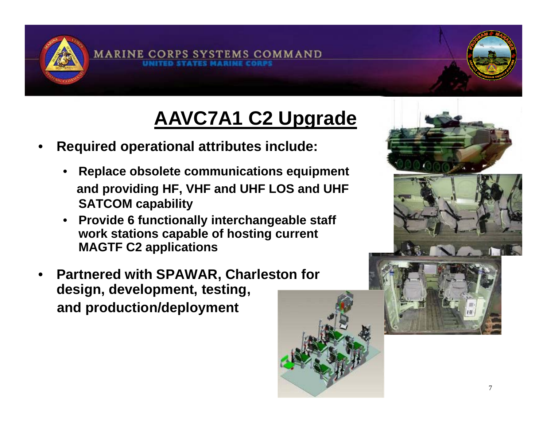

## **AAVC7A1 C2 Upgrade**

- • **Required operational attributes include:** 
	- • **Replace obsolete communications equipment and idi HF VHF d UHF LOS d UHF d providing HF, VHF an LOS an SATCOM capability**
	- • **Provide 6 functionally interchangeable staff**  work stations capable of hosting current **MAGTF C2 applications**
- • **Partnered with SPAWAR, Charleston for design, development, testing, and production/deployment**



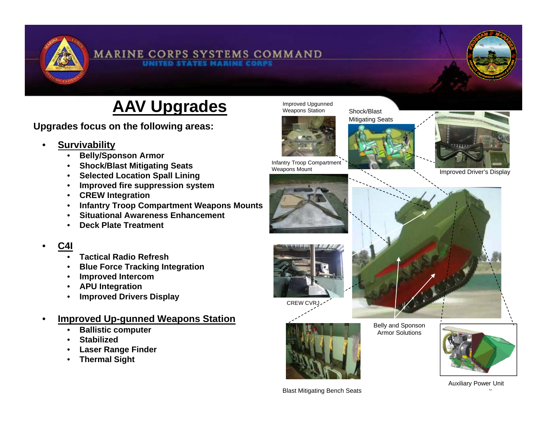

#### **MARINE CORPS SYSTEMS COMMAND**

#### **AAV Upgrades** Meapons Station

**Upgrades focus on the following areas: pg g**

#### •**Survivability**

- •**Belly/Sponson Armor**
- •**Shock/Blast Mitigating Seats**
- •**Selected Location Spall Lining**
- •**Improved fire suppression system**
- **CREW Integration**
- •**Infantry Troop Compartment Weapons Mounts**
- •**Situational Awareness Enhancement**
- •**Deck Plate Treatment**

#### •**C4I**

- •**Tactical Radio Refresh**
- •**Blue Force Tracking Integration**
- •**Improved Intercom**
- $\bullet$ **APU Integration**
- $\bullet$ **Improved Drivers Display**
- • **Improved Up-gunned Weapons Station**
	- •**Ballistic computer**
	- •**Stabilized**
	- •**Laser Range Finder**
	- $\bullet$ **Thermal Sight**



Weapons Mount





Improved Driver's Display





CREW CVRJ



Belly and Sponson Armor Solutions





Blast Mitigating Bench Seats